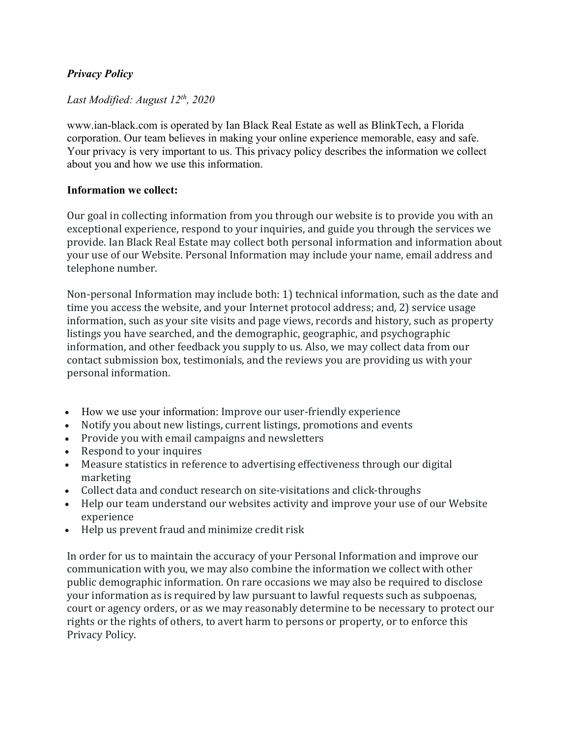# *Privacy Policy*

# *Last Modified: August 12th, 2020*

www.ian-black.com is operated by Ian Black Real Estate as well as BlinkTech, a Florida corporation. Our team believes in making your online experience memorable, easy and safe. Your privacy is very important to us. This privacy policy describes the information we collect about you and how we use this information.

### **Information we collect:**

Our goal in collecting information from you through our website is to provide you with an exceptional experience, respond to your inquiries, and guide you through the services we provide. Ian Black Real Estate may collect both personal information and information about your use of our Website. Personal Information may include your name, email address and telephone number.

Non-personal Information may include both: 1) technical information, such as the date and time you access the website, and your Internet protocol address; and, 2) service usage information, such as your site visits and page views, records and history, such as property listings you have searched, and the demographic, geographic, and psychographic information, and other feedback you supply to us. Also, we may collect data from our contact submission box, testimonials, and the reviews you are providing us with your personal information.

- How we use your information: Improve our user-friendly experience
- Notify you about new listings, current listings, promotions and events
- Provide you with email campaigns and newsletters
- Respond to your inquires
- Measure statistics in reference to advertising effectiveness through our digital marketing
- Collect data and conduct research on site-visitations and click-throughs
- Help our team understand our websites activity and improve your use of our Website experience
- Help us prevent fraud and minimize credit risk

In order for us to maintain the accuracy of your Personal Information and improve our communication with you, we may also combine the information we collect with other public demographic information. On rare occasions we may also be required to disclose your information as is required by law pursuant to lawful requests such as subpoenas, court or agency orders, or as we may reasonably determine to be necessary to protect our rights or the rights of others, to avert harm to persons or property, or to enforce this Privacy Policy.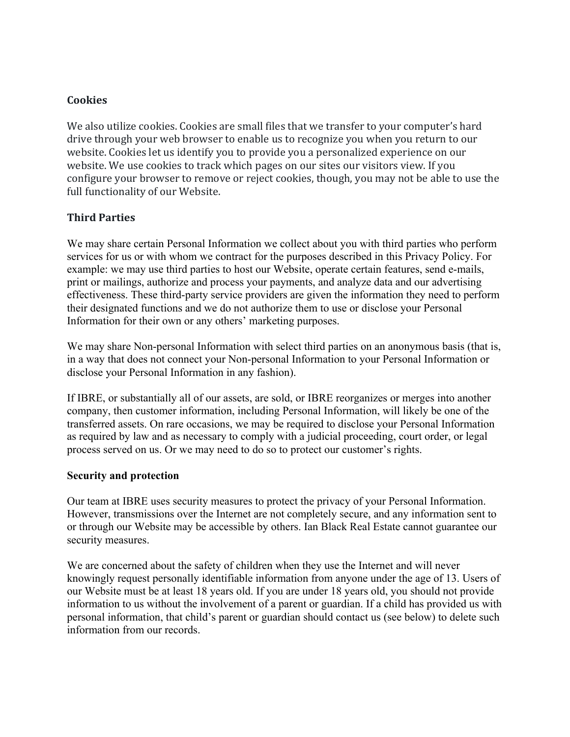### **Cookies**

We also utilize cookies. Cookies are small files that we transfer to your computer's hard drive through your web browser to enable us to recognize you when you return to our website. Cookies let us identify you to provide you a personalized experience on our website. We use cookies to track which pages on our sites our visitors view. If you configure your browser to remove or reject cookies, though, you may not be able to use the full functionality of our Website.

## **Third Parties**

We may share certain Personal Information we collect about you with third parties who perform services for us or with whom we contract for the purposes described in this Privacy Policy. For example: we may use third parties to host our Website, operate certain features, send e-mails, print or mailings, authorize and process your payments, and analyze data and our advertising effectiveness. These third-party service providers are given the information they need to perform their designated functions and we do not authorize them to use or disclose your Personal Information for their own or any others' marketing purposes.

We may share Non-personal Information with select third parties on an anonymous basis (that is, in a way that does not connect your Non-personal Information to your Personal Information or disclose your Personal Information in any fashion).

If IBRE, or substantially all of our assets, are sold, or IBRE reorganizes or merges into another company, then customer information, including Personal Information, will likely be one of the transferred assets. On rare occasions, we may be required to disclose your Personal Information as required by law and as necessary to comply with a judicial proceeding, court order, or legal process served on us. Or we may need to do so to protect our customer's rights.

#### **Security and protection**

Our team at IBRE uses security measures to protect the privacy of your Personal Information. However, transmissions over the Internet are not completely secure, and any information sent to or through our Website may be accessible by others. Ian Black Real Estate cannot guarantee our security measures.

We are concerned about the safety of children when they use the Internet and will never knowingly request personally identifiable information from anyone under the age of 13. Users of our Website must be at least 18 years old. If you are under 18 years old, you should not provide information to us without the involvement of a parent or guardian. If a child has provided us with personal information, that child's parent or guardian should contact us (see below) to delete such information from our records.